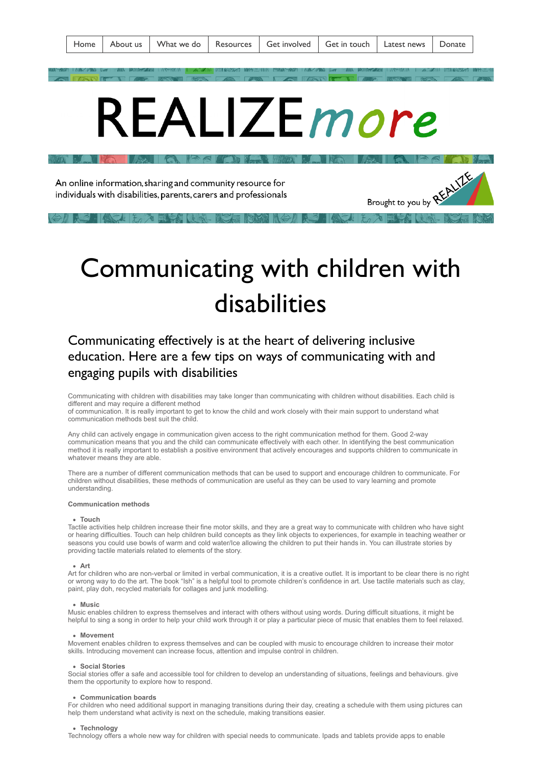Brought to you by REALIE

# [R](https://www.realizebelize.org/realizemore)EAL PROPERTY OF STREET  $\blacksquare$   $\blacksquare$   $\blacksquare$   $\blacksquare$   $\blacksquare$   $\blacksquare$

An online information, sharing and community resource for individuals with disabilities, parents, carers and professionals

## Communicating with children with disabilities

### Communicating effectively is at the heart of delivering inclusive education. Here are a few tips on ways of communicating with and engaging pupils with disabilities

Communicating with children with disabilities may take longer than communicating with children without disabilities. Each child is different and may require a different method

of communication. It is really important to get to know the child and work closely with their main support to understand what communication methods best suit the child.

Any child can actively engage in communication given access to the right communication method for them. Good 2-way communication means that you and the child can communicate effectively with each other. In identifying the best communication method it is really important to establish a positive environment that actively encourages and supports children to communicate in whatever means they are able.

There are a number of different communication methods that can be used to support and encourage children to communicate. For children without disabilities, these methods of communication are useful as they can be used to vary learning and promote understanding.

#### **Communication methods**

#### **Touch**

Tactile activities help children increase their fine motor skills, and they are a great way to communicate with children who have sight or hearing difficulties. Touch can help children build concepts as they link objects to experiences, for example in teaching weather or seasons you could use bowls of warm and cold water/Ice allowing the children to put their hands in. You can illustrate stories by providing tactile materials related to elements of the story.

#### **Art**

Art for children who are non-verbal or limited in verbal communication, it is a creative outlet. It is important to be clear there is no right or wrong way to do the art. The book "Ish" is a helpful tool to promote children's confidence in art. Use tactile materials such as clay, paint, play doh, recycled materials for collages and junk modelling.

#### **Music**

Music enables children to express themselves and interact with others without using words. During difficult situations, it might be helpful to sing a song in order to help your child work through it or play a particular piece of music that enables them to feel relaxed.

#### **Movement**

Movement enables children to express themselves and can be coupled with music to encourage children to increase their motor skills. Introducing movement can increase focus, attention and impulse control in children.

#### **Social Stories**

Social stories offer a safe and accessible tool for children to develop an understanding of situations, feelings and behaviours. give them the opportunity to explore how to respond.

#### **Communication boards**

For children who need additional support in managing transitions during their day, creating a schedule with them using pictures can help them understand what activity is next on the schedule, making transitions easier.

#### **Technology**

Technology offers a whole new way for children with special needs to communicate. Ipads and tablets provide apps to enable